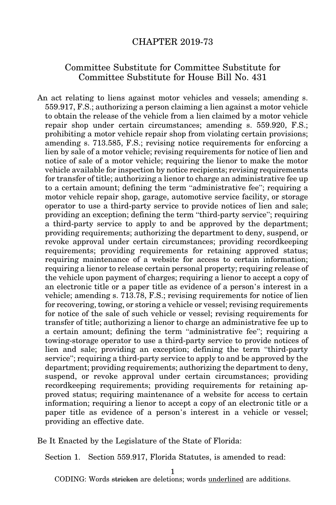## CHAPTER 2019-73

## Committee Substitute for Committee Substitute for Committee Substitute for House Bill No. 431

An act relating to liens against motor vehicles and vessels; amending s. 559.917, F.S.; authorizing a person claiming a lien against a motor vehicle to obtain the release of the vehicle from a lien claimed by a motor vehicle repair shop under certain circumstances; amending s. 559.920, F.S.; prohibiting a motor vehicle repair shop from violating certain provisions; amending s. 713.585, F.S.; revising notice requirements for enforcing a lien by sale of a motor vehicle; revising requirements for notice of lien and notice of sale of a motor vehicle; requiring the lienor to make the motor vehicle available for inspection by notice recipients; revising requirements for transfer of title; authorizing a lienor to charge an administrative fee up to a certain amount; defining the term "administrative fee"; requiring a motor vehicle repair shop, garage, automotive service facility, or storage operator to use a third-party service to provide notices of lien and sale; providing an exception; defining the term "third-party service"; requiring a third-party service to apply to and be approved by the department; providing requirements; authorizing the department to deny, suspend, or revoke approval under certain circumstances; providing recordkeeping requirements; providing requirements for retaining approved status; requiring maintenance of a website for access to certain information; requiring a lienor to release certain personal property; requiring release of the vehicle upon payment of charges; requiring a lienor to accept a copy of an electronic title or a paper title as evidence of a person's interest in a vehicle; amending s. 713.78, F.S.; revising requirements for notice of lien for recovering, towing, or storing a vehicle or vessel; revising requirements for notice of the sale of such vehicle or vessel; revising requirements for transfer of title; authorizing a lienor to charge an administrative fee up to a certain amount; defining the term "administrative fee"; requiring a towing-storage operator to use a third-party service to provide notices of lien and sale; providing an exception; defining the term "third-party service"; requiring a third-party service to apply to and be approved by the department; providing requirements; authorizing the department to deny, suspend, or revoke approval under certain circumstances; providing recordkeeping requirements; providing requirements for retaining approved status; requiring maintenance of a website for access to certain information; requiring a lienor to accept a copy of an electronic title or a paper title as evidence of a person's interest in a vehicle or vessel; providing an effective date.

Be It Enacted by the Legislature of the State of Florida:

Section 1. Section 559.917, Florida Statutes, is amended to read:

1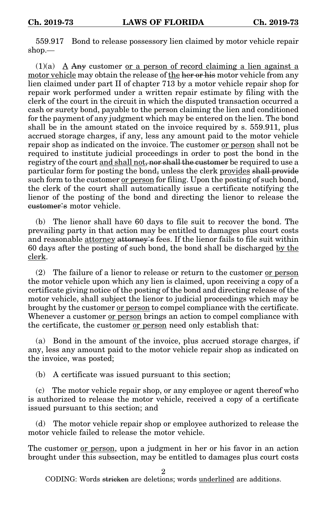559.917 Bond to release possessory lien claimed by motor vehicle repair shop.—

 $(1)(a)$  A Any customer or a person of record claiming a lien against a motor vehicle may obtain the release of the her or his motor vehicle from any lien claimed under part II of chapter 713 by a motor vehicle repair shop for repair work performed under a written repair estimate by filing with the clerk of the court in the circuit in which the disputed transaction occurred a cash or surety bond, payable to the person claiming the lien and conditioned for the payment of any judgment which may be entered on the lien. The bond shall be in the amount stated on the invoice required by s. 559.911, plus accrued storage charges, if any, less any amount paid to the motor vehicle repair shop as indicated on the invoice. The customer or person shall not be required to institute judicial proceedings in order to post the bond in the registry of the court and shall not, nor shall the customer be required to use a particular form for posting the bond, unless the clerk provides shall provide such form to the customer or person for filing. Upon the posting of such bond, the clerk of the court shall automatically issue a certificate notifying the lienor of the posting of the bond and directing the lienor to release the customer's motor vehicle.

(b) The lienor shall have 60 days to file suit to recover the bond. The prevailing party in that action may be entitled to damages plus court costs and reasonable attorney attorney's fees. If the lienor fails to file suit within 60 days after the posting of such bond, the bond shall be discharged by the clerk.

(2) The failure of a lienor to release or return to the customer or person the motor vehicle upon which any lien is claimed, upon receiving a copy of a certificate giving notice of the posting of the bond and directing release of the motor vehicle, shall subject the lienor to judicial proceedings which may be brought by the customer or person to compel compliance with the certificate. Whenever a customer or person brings an action to compel compliance with the certificate, the customer or person need only establish that:

(a) Bond in the amount of the invoice, plus accrued storage charges, if any, less any amount paid to the motor vehicle repair shop as indicated on the invoice, was posted;

(b) A certificate was issued pursuant to this section;

(c) The motor vehicle repair shop, or any employee or agent thereof who is authorized to release the motor vehicle, received a copy of a certificate issued pursuant to this section; and

(d) The motor vehicle repair shop or employee authorized to release the motor vehicle failed to release the motor vehicle.

The customer <u>or person</u>, upon a judgment in her or his favor in an action brought under this subsection, may be entitled to damages plus court costs

2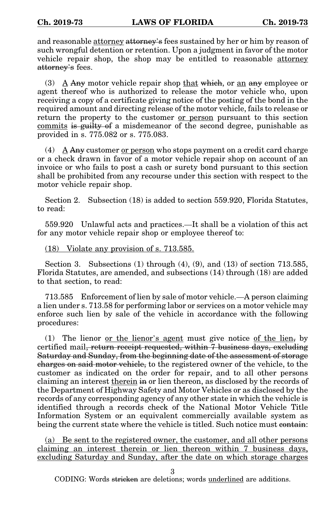and reasonable attorney attorney's fees sustained by her or him by reason of such wrongful detention or retention. Upon a judgment in favor of the motor vehicle repair shop, the shop may be entitled to reasonable attorney attorney's fees.

(3) A  $\overline{A}$  Any motor vehicle repair shop that which, or an any employee or agent thereof who is authorized to release the motor vehicle who, upon receiving a copy of a certificate giving notice of the posting of the bond in the required amount and directing release of the motor vehicle, fails to release or return the property to the customer or person pursuant to this section commits is guilty of a misdemeanor of the second degree, punishable as provided in s. 775.082 or s. 775.083.

 $(4)$  A Any customer or person who stops payment on a credit card charge or a check drawn in favor of a motor vehicle repair shop on account of an invoice or who fails to post a cash or surety bond pursuant to this section shall be prohibited from any recourse under this section with respect to the motor vehicle repair shop.

Section 2. Subsection (18) is added to section 559.920, Florida Statutes, to read:

559.920 Unlawful acts and practices.—It shall be a violation of this act for any motor vehicle repair shop or employee thereof to:

(18) Violate any provision of s. 713.585.

Section 3. Subsections  $(1)$  through  $(4)$ ,  $(9)$ , and  $(13)$  of section 713.585, Florida Statutes, are amended, and subsections (14) through (18) are added to that section, to read:

713.585 Enforcement of lien by sale of motor vehicle.—A person claiming a lien under s. 713.58 for performing labor or services on a motor vehicle may enforce such lien by sale of the vehicle in accordance with the following procedures:

(1) The lienor <u>or the lienor's agent</u> must give notice of the lien, by certified mail, return receipt requested, within 7 business days, excluding Saturday and Sunday, from the beginning date of the assessment of storage charges on said motor vehicle, to the registered owner of the vehicle, to the customer as indicated on the order for repair, and to all other persons claiming an interest therein in or lien thereon, as disclosed by the records of the Department of Highway Safety and Motor Vehicles or as disclosed by the records of any corresponding agency of any other state in which the vehicle is identified through a records check of the National Motor Vehicle Title Information System or an equivalent commercially available system as being the current state where the vehicle is titled. Such notice must contain:

(a) Be sent to the registered owner, the customer, and all other persons claiming an interest therein or lien thereon within 7 business days, excluding Saturday and Sunday, after the date on which storage charges

3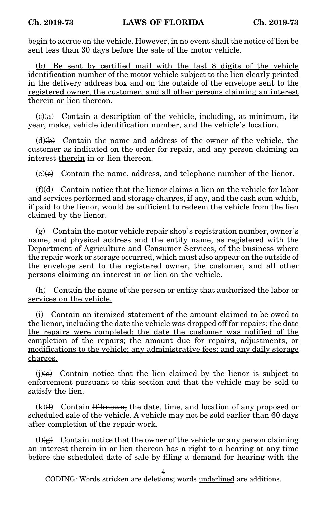begin to accrue on the vehicle. However, in no event shall the notice of lien be sent less than 30 days before the sale of the motor vehicle.

(b) Be sent by certified mail with the last 8 digits of the vehicle identification number of the motor vehicle subject to the lien clearly printed in the delivery address box and on the outside of the envelope sent to the registered owner, the customer, and all other persons claiming an interest therein or lien thereon.

 $(c)$ (a) Contain a description of the vehicle, including, at minimum, its year, make, vehicle identification number, and the vehicle's location.

 $(d)$ (b) Contain the name and address of the owner of the vehicle, the customer as indicated on the order for repair, and any person claiming an interest therein in or lien thereon.

 $(e)(e)$  Contain the name, address, and telephone number of the lienor.

 $(f)(d)$  Contain notice that the lienor claims a lien on the vehicle for labor and services performed and storage charges, if any, and the cash sum which, if paid to the lienor, would be sufficient to redeem the vehicle from the lien claimed by the lienor.

(g) Contain the motor vehicle repair shop's registration number, owner's name, and physical address and the entity name, as registered with the Department of Agriculture and Consumer Services, of the business where the repair work or storage occurred, which must also appear on the outside of the envelope sent to the registered owner, the customer, and all other persons claiming an interest in or lien on the vehicle.

(h) Contain the name of the person or entity that authorized the labor or services on the vehicle.

(i) Contain an itemized statement of the amount claimed to be owed to the lienor, including the date the vehicle was dropped off for repairs; the date the repairs were completed; the date the customer was notified of the completion of the repairs; the amount due for repairs, adjustments, or modifications to the vehicle; any administrative fees; and any daily storage charges.

 $(j)(e)$  Contain notice that the lien claimed by the lienor is subject to enforcement pursuant to this section and that the vehicle may be sold to satisfy the lien.

 $(k)$ (f) Contain If known, the date, time, and location of any proposed or scheduled sale of the vehicle. A vehicle may not be sold earlier than 60 days after completion of the repair work.

 $(l)$ (g) Contain notice that the owner of the vehicle or any person claiming an interest therein in or lien thereon has a right to a hearing at any time before the scheduled date of sale by filing a demand for hearing with the

4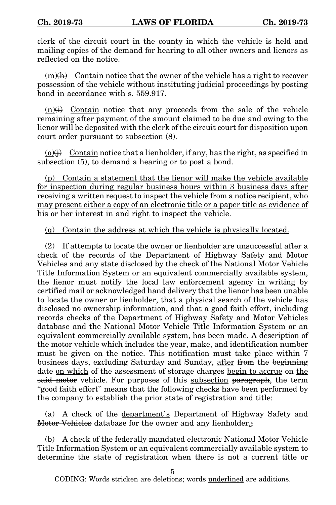clerk of the circuit court in the county in which the vehicle is held and mailing copies of the demand for hearing to all other owners and lienors as reflected on the notice.

 $(m)(h)$  Contain notice that the owner of the vehicle has a right to recover possession of the vehicle without instituting judicial proceedings by posting bond in accordance with s. 559.917.

 $(n)(i)$  Contain notice that any proceeds from the sale of the vehicle remaining after payment of the amount claimed to be due and owing to the lienor will be deposited with the clerk of the circuit court for disposition upon court order pursuant to subsection (8).

 $(0)(i)$  Contain notice that a lienholder, if any, has the right, as specified in subsection (5), to demand a hearing or to post a bond.

(p) Contain a statement that the lienor will make the vehicle available for inspection during regular business hours within 3 business days after receiving a written request to inspect the vehicle from a notice recipient, who may present either a copy of an electronic title or a paper title as evidence of his or her interest in and right to inspect the vehicle.

(q) Contain the address at which the vehicle is physically located.

(2) If attempts to locate the owner or lienholder are unsuccessful after a check of the records of the Department of Highway Safety and Motor Vehicles and any state disclosed by the check of the National Motor Vehicle Title Information System or an equivalent commercially available system, the lienor must notify the local law enforcement agency in writing by certified mail or acknowledged hand delivery that the lienor has been unable to locate the owner or lienholder, that a physical search of the vehicle has disclosed no ownership information, and that a good faith effort, including records checks of the Department of Highway Safety and Motor Vehicles database and the National Motor Vehicle Title Information System or an equivalent commercially available system, has been made. A description of the motor vehicle which includes the year, make, and identification number must be given on the notice. This notification must take place within 7 business days, excluding Saturday and Sunday, after from the beginning date on which of the assessment of storage charges begin to accrue on the said motor vehicle. For purposes of this subsection paragraph, the term "good faith effort" means that the following checks have been performed by the company to establish the prior state of registration and title:

(a) A check of the department's Department of Highway Safety and Motor Vehicles database for the owner and any lienholder.;

(b) A check of the federally mandated electronic National Motor Vehicle Title Information System or an equivalent commercially available system to determine the state of registration when there is not a current title or

5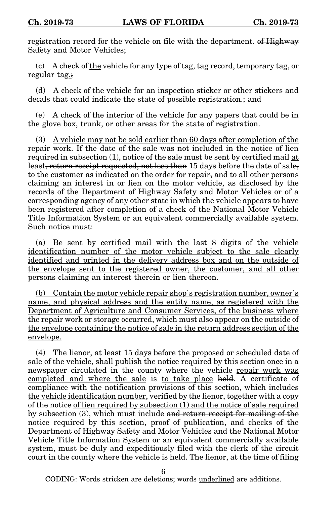registration record for the vehicle on file with the department. of Highway Safety and Motor Vehicles;

(c) A check of the vehicle for any type of tag, tag record, temporary tag, or regular tag.;

(d) A check of the vehicle for an inspection sticker or other stickers and decals that could indicate the state of possible registration.; and

(e) A check of the interior of the vehicle for any papers that could be in the glove box, trunk, or other areas for the state of registration.

(3) A vehicle may not be sold earlier than 60 days after completion of the repair work. If the date of the sale was not included in the notice of lien required in subsection (1), notice of the sale must be sent by certified mail at least, return receipt requested, not less than 15 days before the date of sale, to the customer as indicated on the order for repair, and to all other persons claiming an interest in or lien on the motor vehicle, as disclosed by the records of the Department of Highway Safety and Motor Vehicles or of a corresponding agency of any other state in which the vehicle appears to have been registered after completion of a check of the National Motor Vehicle Title Information System or an equivalent commercially available system. Such notice must:

(a) Be sent by certified mail with the last 8 digits of the vehicle identification number of the motor vehicle subject to the sale clearly identified and printed in the delivery address box and on the outside of the envelope sent to the registered owner, the customer, and all other persons claiming an interest therein or lien thereon.

(b) Contain the motor vehicle repair shop's registration number, owner's name, and physical address and the entity name, as registered with the Department of Agriculture and Consumer Services, of the business where the repair work or storage occurred, which must also appear on the outside of the envelope containing the notice of sale in the return address section of the envelope.

(4) The lienor, at least 15 days before the proposed or scheduled date of sale of the vehicle, shall publish the notice required by this section once in a newspaper circulated in the county where the vehicle repair work was completed and where the sale is to take place held. A certificate of compliance with the notification provisions of this section, which includes the vehicle identification number, verified by the lienor, together with a copy of the notice of lien required by subsection (1) and the notice of sale required by subsection (3), which must include and return receipt for mailing of the notice required by this section, proof of publication, and checks of the Department of Highway Safety and Motor Vehicles and the National Motor Vehicle Title Information System or an equivalent commercially available system, must be duly and expeditiously filed with the clerk of the circuit court in the county where the vehicle is held. The lienor, at the time of filing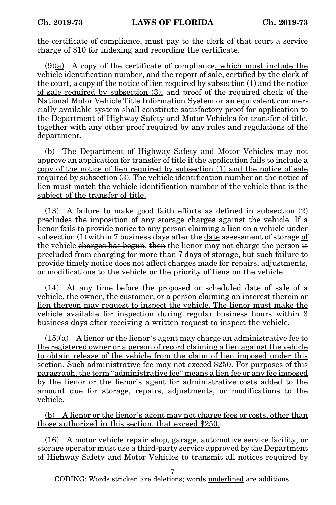the certificate of compliance, must pay to the clerk of that court a service charge of \$10 for indexing and recording the certificate.

 $(9)(a)$  A copy of the certificate of compliance, which must include the vehicle identification number, and the report of sale, certified by the clerk of the court, a copy of the notice of lien required by subsection (1) and the notice of sale required by subsection (3), and proof of the required check of the National Motor Vehicle Title Information System or an equivalent commercially available system shall constitute satisfactory proof for application to the Department of Highway Safety and Motor Vehicles for transfer of title, together with any other proof required by any rules and regulations of the department.

(b) The Department of Highway Safety and Motor Vehicles may not approve an application for transfer of title if the application fails to include a copy of the notice of lien required by subsection (1) and the notice of sale required by subsection (3). The vehicle identification number on the notice of lien must match the vehicle identification number of the vehicle that is the subject of the transfer of title.

(13) A failure to make good faith efforts as defined in subsection (2) precludes the imposition of any storage charges against the vehicle. If a lienor fails to provide notice to any person claiming a lien on a vehicle under subsection (1) within 7 business days after the date assessment of storage of the vehicle charges has begun, then the lienor may not charge the person is precluded from charging for more than 7 days of storage, but such failure to provide timely notice does not affect charges made for repairs, adjustments, or modifications to the vehicle or the priority of liens on the vehicle.

(14) At any time before the proposed or scheduled date of sale of a vehicle, the owner, the customer, or a person claiming an interest therein or lien thereon may request to inspect the vehicle. The lienor must make the vehicle available for inspection during regular business hours within 3 business days after receiving a written request to inspect the vehicle.

 $(15)(a)$  A lienor or the lienor's agent may charge an administrative fee to the registered owner or a person of record claiming a lien against the vehicle to obtain release of the vehicle from the claim of lien imposed under this section. Such administrative fee may not exceed \$250. For purposes of this paragraph, the term "administrative fee" means a lien fee or any fee imposed by the lienor or the lienor's agent for administrative costs added to the amount due for storage, repairs, adjustments, or modifications to the vehicle.

(b) A lienor or the lienor's agent may not charge fees or costs, other than those authorized in this section, that exceed \$250.

(16) A motor vehicle repair shop, garage, automotive service facility, or storage operator must use a third-party service approved by the Department of Highway Safety and Motor Vehicles to transmit all notices required by

7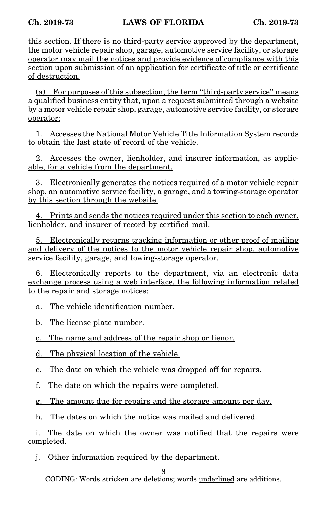this section. If there is no third-party service approved by the department, the motor vehicle repair shop, garage, automotive service facility, or storage operator may mail the notices and provide evidence of compliance with this section upon submission of an application for certificate of title or certificate of destruction.

(a) For purposes of this subsection, the term "third-party service" means a qualified business entity that, upon a request submitted through a website by a motor vehicle repair shop, garage, automotive service facility, or storage operator:

1. Accesses the National Motor Vehicle Title Information System records to obtain the last state of record of the vehicle.

2. Accesses the owner, lienholder, and insurer information, as applicable, for a vehicle from the department.

3. Electronically generates the notices required of a motor vehicle repair shop, an automotive service facility, a garage, and a towing-storage operator by this section through the website.

4. Prints and sends the notices required under this section to each owner, lienholder, and insurer of record by certified mail.

5. Electronically returns tracking information or other proof of mailing and delivery of the notices to the motor vehicle repair shop, automotive service facility, garage, and towing-storage operator.

6. Electronically reports to the department, via an electronic data exchange process using a web interface, the following information related to the repair and storage notices:

a. The vehicle identification number.

b. The license plate number.

c. The name and address of the repair shop or lienor.

d. The physical location of the vehicle.

e. The date on which the vehicle was dropped off for repairs.

f. The date on which the repairs were completed.

g. The amount due for repairs and the storage amount per day.

h. The dates on which the notice was mailed and delivered.

i. The date on which the owner was notified that the repairs were completed.

j. Other information required by the department.

8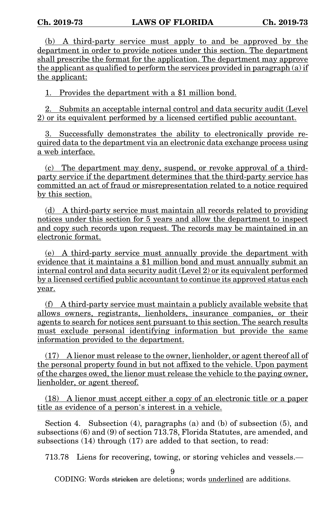(b) A third-party service must apply to and be approved by the department in order to provide notices under this section. The department shall prescribe the format for the application. The department may approve the applicant as qualified to perform the services provided in paragraph (a) if the applicant:

1. Provides the department with a \$1 million bond.

2. Submits an acceptable internal control and data security audit (Level 2) or its equivalent performed by a licensed certified public accountant.

3. Successfully demonstrates the ability to electronically provide required data to the department via an electronic data exchange process using a web interface.

(c) The department may deny, suspend, or revoke approval of a thirdparty service if the department determines that the third-party service has committed an act of fraud or misrepresentation related to a notice required by this section.

(d) A third-party service must maintain all records related to providing notices under this section for 5 years and allow the department to inspect and copy such records upon request. The records may be maintained in an electronic format.

(e) A third-party service must annually provide the department with evidence that it maintains a \$1 million bond and must annually submit an internal control and data security audit (Level 2) or its equivalent performed by a licensed certified public accountant to continue its approved status each year.

(f) A third-party service must maintain a publicly available website that allows owners, registrants, lienholders, insurance companies, or their agents to search for notices sent pursuant to this section. The search results must exclude personal identifying information but provide the same information provided to the department.

(17) A lienor must release to the owner, lienholder, or agent thereof all of the personal property found in but not affixed to the vehicle. Upon payment of the charges owed, the lienor must release the vehicle to the paying owner, lienholder, or agent thereof.

(18) A lienor must accept either a copy of an electronic title or a paper title as evidence of a person's interest in a vehicle.

Section 4. Subsection (4), paragraphs (a) and (b) of subsection (5), and subsections (6) and (9) of section 713.78, Florida Statutes, are amended, and subsections (14) through (17) are added to that section, to read:

713.78 Liens for recovering, towing, or storing vehicles and vessels.—

9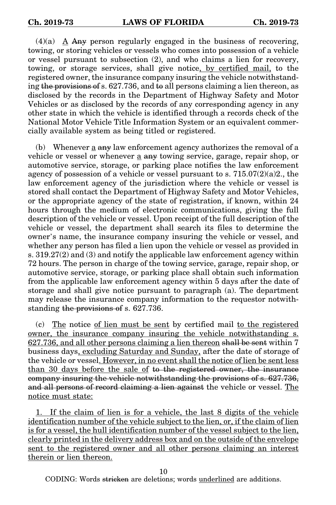$(4)(a)$  A Any person regularly engaged in the business of recovering, towing, or storing vehicles or vessels who comes into possession of a vehicle or vessel pursuant to subsection (2), and who claims a lien for recovery, towing, or storage services, shall give notice, by certified mail, to the registered owner, the insurance company insuring the vehicle notwithstanding the provisions of s. 627.736, and to all persons claiming a lien thereon, as disclosed by the records in the Department of Highway Safety and Motor Vehicles or as disclosed by the records of any corresponding agency in any other state in which the vehicle is identified through a records check of the National Motor Vehicle Title Information System or an equivalent commercially available system as being titled or registered.

(b) Whenever a any law enforcement agency authorizes the removal of a vehicle or vessel or whenever a any towing service, garage, repair shop, or automotive service, storage, or parking place notifies the law enforcement agency of possession of a vehicle or vessel pursuant to s.  $715.07(2)(a)2$ , the law enforcement agency of the jurisdiction where the vehicle or vessel is stored shall contact the Department of Highway Safety and Motor Vehicles, or the appropriate agency of the state of registration, if known, within 24 hours through the medium of electronic communications, giving the full description of the vehicle or vessel. Upon receipt of the full description of the vehicle or vessel, the department shall search its files to determine the owner's name, the insurance company insuring the vehicle or vessel, and whether any person has filed a lien upon the vehicle or vessel as provided in s. 319.27(2) and (3) and notify the applicable law enforcement agency within 72 hours. The person in charge of the towing service, garage, repair shop, or automotive service, storage, or parking place shall obtain such information from the applicable law enforcement agency within 5 days after the date of storage and shall give notice pursuant to paragraph (a). The department may release the insurance company information to the requestor notwithstanding the provisions of s. 627.736.

(c) The notice of lien must be sent by certified mail to the registered owner, the insurance company insuring the vehicle notwithstanding s. 627.736, and all other persons claiming a lien thereon shall be sent within 7 business days, excluding Saturday and Sunday, after the date of storage of the vehicle or vessel. However, in no event shall the notice of lien be sent less than 30 days before the sale of to the registered owner, the insurance company insuring the vehicle notwithstanding the provisions of s. 627.736, and all persons of record claiming a lien against the vehicle or vessel. The notice must state:

1. If the claim of lien is for a vehicle, the last 8 digits of the vehicle identification number of the vehicle subject to the lien, or, if the claim of lien is for a vessel, the hull identification number of the vessel subject to the lien, clearly printed in the delivery address box and on the outside of the envelope sent to the registered owner and all other persons claiming an interest therein or lien thereon.

10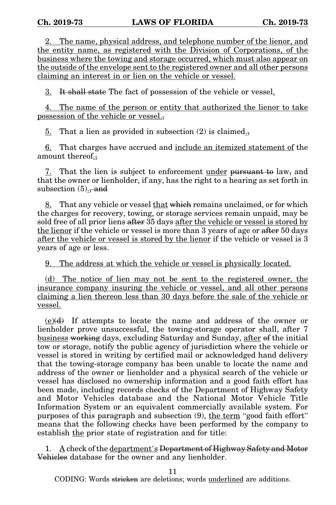2. The name, physical address, and telephone number of the lienor, and the entity name, as registered with the Division of Corporations, of the business where the towing and storage occurred, which must also appear on the outside of the envelope sent to the registered owner and all other persons claiming an interest in or lien on the vehicle or vessel.

3. It shall state The fact of possession of the vehicle or vessel.

4. The name of the person or entity that authorized the lienor to take possession of the vehicle or vessel.,

5. That a lien as provided in subsection (2) is claimed.,

6. That charges have accrued and include an itemized statement of the amount thereof.,

7. That the lien is subject to enforcement under pursuant to law, and that the owner or lienholder, if any, has the right to a hearing as set forth in subsection  $(5)$ ., and

8. That any vehicle or vessel that which remains unclaimed, or for which the charges for recovery, towing, or storage services remain unpaid, may be sold free of all prior liens after 35 days after the vehicle or vessel is stored by the lienor if the vehicle or vessel is more than 3 years of age or after 50 days after the vehicle or vessel is stored by the lienor if the vehicle or vessel is 3 years of age or less.

9. The address at which the vehicle or vessel is physically located.

(d) The notice of lien may not be sent to the registered owner, the insurance company insuring the vehicle or vessel, and all other persons claiming a lien thereon less than 30 days before the sale of the vehicle or vessel.

(e)(d) If attempts to locate the name and address of the owner or lienholder prove unsuccessful, the towing-storage operator shall, after 7 business working days, excluding Saturday and Sunday, after of the initial tow or storage, notify the public agency of jurisdiction where the vehicle or vessel is stored in writing by certified mail or acknowledged hand delivery that the towing-storage company has been unable to locate the name and address of the owner or lienholder and a physical search of the vehicle or vessel has disclosed no ownership information and a good faith effort has been made, including records checks of the Department of Highway Safety and Motor Vehicles database and the National Motor Vehicle Title Information System or an equivalent commercially available system. For purposes of this paragraph and subsection (9), the term "good faith effort" means that the following checks have been performed by the company to establish the prior state of registration and for title:

1.  $\Delta$  check of the department's Department of Highway Safety and Motor Vehicles database for the owner and any lienholder.

11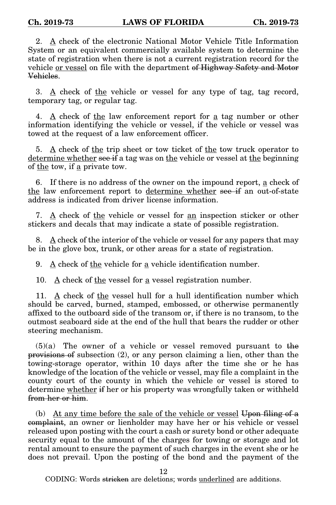2. A check of the electronic National Motor Vehicle Title Information System or an equivalent commercially available system to determine the state of registration when there is not a current registration record for the vehicle or vessel on file with the department of Highway Safety and Motor Vehicles.

3. A check of the vehicle or vessel for any type of tag, tag record, temporary tag, or regular tag.

4. A check of the law enforcement report for a tag number or other information identifying the vehicle or vessel, if the vehicle or vessel was towed at the request of a law enforcement officer.

5. A check of the trip sheet or tow ticket of the tow truck operator to determine whether see if a tag was on the vehicle or vessel at the beginning of <u>the</u> tow, if <u>a</u> private tow.

6. If there is no address of the owner on the impound report, a check of the law enforcement report to determine whether see if an out-of-state address is indicated from driver license information.

7.  $\underline{A}$  check of the vehicle or vessel for an inspection sticker or other stickers and decals that may indicate a state of possible registration.

8. A check of the interior of the vehicle or vessel for any papers that may be in the glove box, trunk, or other areas for a state of registration.

9. A check of the vehicle for a vehicle identification number.

10.  $\underline{A}$  check of the vessel for a vessel registration number.

11. A check of the vessel hull for a hull identification number which should be carved, burned, stamped, embossed, or otherwise permanently affixed to the outboard side of the transom or, if there is no transom, to the outmost seaboard side at the end of the hull that bears the rudder or other steering mechanism.

 $(5)(a)$  The owner of a vehicle or vessel removed pursuant to the provisions of subsection (2), or any person claiming a lien, other than the towing-storage operator, within 10 days after the time she or he has knowledge of the location of the vehicle or vessel, may file a complaint in the county court of the county in which the vehicle or vessel is stored to determine whether if her or his property was wrongfully taken or withheld from her or him.

(b) At any time before the sale of the vehicle or vessel Upon filing of a complaint, an owner or lienholder may have her or his vehicle or vessel released upon posting with the court a cash or surety bond or other adequate security equal to the amount of the charges for towing or storage and lot rental amount to ensure the payment of such charges in the event she or he does not prevail. Upon the posting of the bond and the payment of the

12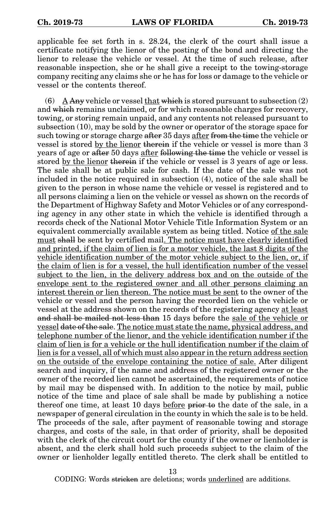applicable fee set forth in s. 28.24, the clerk of the court shall issue a certificate notifying the lienor of the posting of the bond and directing the lienor to release the vehicle or vessel. At the time of such release, after reasonable inspection, she or he shall give a receipt to the towing-storage company reciting any claims she or he has for loss or damage to the vehicle or vessel or the contents thereof.

(6) A Any vehicle or vessel that which is stored pursuant to subsection  $(2)$ and which remains unclaimed, or for which reasonable charges for recovery, towing, or storing remain unpaid, and any contents not released pursuant to subsection (10), may be sold by the owner or operator of the storage space for such towing or storage charge after 35 days after from the time the vehicle or vessel is stored by the lienor therein if the vehicle or vessel is more than 3 years of age or after 50 days after following the time the vehicle or vessel is stored by the lienor therein if the vehicle or vessel is 3 years of age or less. The sale shall be at public sale for cash. If the date of the sale was not included in the notice required in subsection (4), notice of the sale shall be given to the person in whose name the vehicle or vessel is registered and to all persons claiming a lien on the vehicle or vessel as shown on the records of the Department of Highway Safety and Motor Vehicles or of any corresponding agency in any other state in which the vehicle is identified through a records check of the National Motor Vehicle Title Information System or an equivalent commercially available system as being titled. Notice of the sale must shall be sent by certified mail. The notice must have clearly identified and printed, if the claim of lien is for a motor vehicle, the last 8 digits of the vehicle identification number of the motor vehicle subject to the lien, or, if the claim of lien is for a vessel, the hull identification number of the vessel subject to the lien, in the delivery address box and on the outside of the envelope sent to the registered owner and all other persons claiming an interest therein or lien thereon. The notice must be sent to the owner of the vehicle or vessel and the person having the recorded lien on the vehicle or vessel at the address shown on the records of the registering agency at least and shall be mailed not less than 15 days before the sale of the vehicle or vessel date of the sale. The notice must state the name, physical address, and telephone number of the lienor, and the vehicle identification number if the claim of lien is for a vehicle or the hull identification number if the claim of lien is for a vessel, all of which must also appear in the return address section on the outside of the envelope containing the notice of sale. After diligent search and inquiry, if the name and address of the registered owner or the owner of the recorded lien cannot be ascertained, the requirements of notice by mail may be dispensed with. In addition to the notice by mail, public notice of the time and place of sale shall be made by publishing a notice thereof one time, at least 10 days before prior to the date of the sale, in a newspaper of general circulation in the county in which the sale is to be held. The proceeds of the sale, after payment of reasonable towing and storage charges, and costs of the sale, in that order of priority, shall be deposited with the clerk of the circuit court for the county if the owner or lienholder is absent, and the clerk shall hold such proceeds subject to the claim of the owner or lienholder legally entitled thereto. The clerk shall be entitled to

13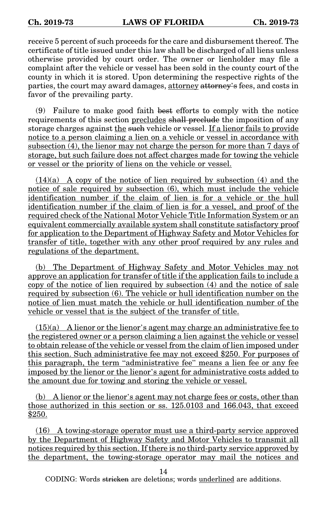receive 5 percent of such proceeds for the care and disbursement thereof. The certificate of title issued under this law shall be discharged of all liens unless otherwise provided by court order. The owner or lienholder may file a complaint after the vehicle or vessel has been sold in the county court of the county in which it is stored. Upon determining the respective rights of the parties, the court may award damages, attorney attorney's fees, and costs in favor of the prevailing party.

(9) Failure to make good faith best efforts to comply with the notice requirements of this section precludes shall preclude the imposition of any storage charges against the such vehicle or vessel. If a lienor fails to provide notice to a person claiming a lien on a vehicle or vessel in accordance with subsection (4), the lienor may not charge the person for more than 7 days of storage, but such failure does not affect charges made for towing the vehicle or vessel or the priority of liens on the vehicle or vessel.

 $(14)(a)$  A copy of the notice of lien required by subsection (4) and the notice of sale required by subsection (6), which must include the vehicle identification number if the claim of lien is for a vehicle or the hull identification number if the claim of lien is for a vessel, and proof of the required check of the National Motor Vehicle Title Information System or an equivalent commercially available system shall constitute satisfactory proof for application to the Department of Highway Safety and Motor Vehicles for transfer of title, together with any other proof required by any rules and regulations of the department.

(b) The Department of Highway Safety and Motor Vehicles may not approve an application for transfer of title if the application fails to include a copy of the notice of lien required by subsection (4) and the notice of sale required by subsection (6). The vehicle or hull identification number on the notice of lien must match the vehicle or hull identification number of the vehicle or vessel that is the subject of the transfer of title.

 $(15)(a)$  A lienor or the lienor's agent may charge an administrative fee to the registered owner or a person claiming a lien against the vehicle or vessel to obtain release of the vehicle or vessel from the claim of lien imposed under this section. Such administrative fee may not exceed \$250. For purposes of this paragraph, the term "administrative fee" means a lien fee or any fee imposed by the lienor or the lienor's agent for administrative costs added to the amount due for towing and storing the vehicle or vessel.

(b) A lienor or the lienor's agent may not charge fees or costs, other than those authorized in this section or ss. 125.0103 and 166.043, that exceed \$250.

(16) A towing-storage operator must use a third-party service approved by the Department of Highway Safety and Motor Vehicles to transmit all notices required by this section. If there is no third-party service approved by the department, the towing-storage operator may mail the notices and

14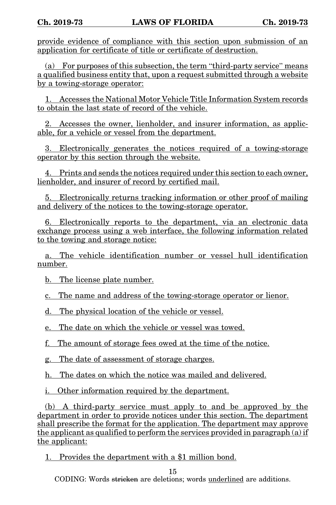provide evidence of compliance with this section upon submission of an application for certificate of title or certificate of destruction.

(a) For purposes of this subsection, the term "third-party service" means a qualified business entity that, upon a request submitted through a website by a towing-storage operator:

1. Accesses the National Motor Vehicle Title Information System records to obtain the last state of record of the vehicle.

2. Accesses the owner, lienholder, and insurer information, as applicable, for a vehicle or vessel from the department.

3. Electronically generates the notices required of a towing-storage operator by this section through the website.

4. Prints and sends the notices required under this section to each owner, lienholder, and insurer of record by certified mail.

5. Electronically returns tracking information or other proof of mailing and delivery of the notices to the towing-storage operator.

6. Electronically reports to the department, via an electronic data exchange process using a web interface, the following information related to the towing and storage notice:

a. The vehicle identification number or vessel hull identification number.

b. The license plate number.

c. The name and address of the towing-storage operator or lienor.

d. The physical location of the vehicle or vessel.

e. The date on which the vehicle or vessel was towed.

f. The amount of storage fees owed at the time of the notice.

g. The date of assessment of storage charges.

h. The dates on which the notice was mailed and delivered.

i. Other information required by the department.

(b) A third-party service must apply to and be approved by the department in order to provide notices under this section. The department shall prescribe the format for the application. The department may approve the applicant as qualified to perform the services provided in paragraph (a) if the applicant:

1. Provides the department with a \$1 million bond.

15